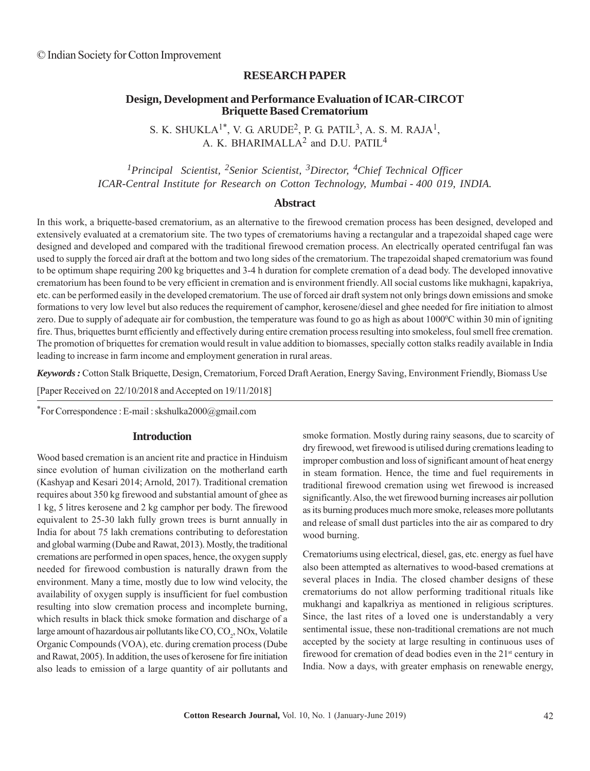## **RESEARCH PAPER**

# **Design, Development and Performance Evaluation of ICAR-CIRCOT Briquette Based Crematorium**

S. K. SHUKLA<sup>1\*</sup>, V. G. ARUDE<sup>2</sup>, P. G. PATIL<sup>3</sup>, A. S. M. RAJA<sup>1</sup>, A. K. BHARIMALLA<sup>2</sup> and D.U. PATIL<sup>4</sup>

*1Principal Scientist, 2Senior Scientist, 3Director, 4Chief Technical Officer ICAR-Central Institute for Research on Cotton Technology, Mumbai - 400 019, INDIA.*

### **Abstract**

In this work, a briquette-based crematorium, as an alternative to the firewood cremation process has been designed, developed and extensively evaluated at a crematorium site. The two types of crematoriums having a rectangular and a trapezoidal shaped cage were designed and developed and compared with the traditional firewood cremation process. An electrically operated centrifugal fan was used to supply the forced air draft at the bottom and two long sides of the crematorium. The trapezoidal shaped crematorium was found to be optimum shape requiring 200 kg briquettes and 3-4 h duration for complete cremation of a dead body. The developed innovative crematorium has been found to be very efficient in cremation and is environment friendly. All social customs like mukhagni, kapakriya, etc. can be performed easily in the developed crematorium. The use of forced air draft system not only brings down emissions and smoke formations to very low level but also reduces the requirement of camphor, kerosene/diesel and ghee needed for fire initiation to almost zero. Due to supply of adequate air for combustion, the temperature was found to go as high as about 1000°C within 30 min of igniting fire. Thus, briquettes burnt efficiently and effectively during entire cremation process resulting into smokeless, foul smell free cremation. The promotion of briquettes for cremation would result in value addition to biomasses, specially cotton stalks readily available in India leading to increase in farm income and employment generation in rural areas.

*Keywords :* Cotton Stalk Briquette, Design, Crematorium, Forced Draft Aeration, Energy Saving, Environment Friendly, Biomass Use

[Paper Received on 22/10/2018 and Accepted on 19/11/2018]

\*For Correspondence : E-mail : skshulka2000@gmail.com

#### **Introduction**

Wood based cremation is an ancient rite and practice in Hinduism since evolution of human civilization on the motherland earth (Kashyap and Kesari 2014; Arnold, 2017). Traditional cremation requires about 350 kg firewood and substantial amount of ghee as 1 kg, 5 litres kerosene and 2 kg camphor per body. The firewood equivalent to 25-30 lakh fully grown trees is burnt annually in India for about 75 lakh cremations contributing to deforestation and global warming (Dube and Rawat, 2013). Mostly, the traditional cremations are performed in open spaces, hence, the oxygen supply needed for firewood combustion is naturally drawn from the environment. Many a time, mostly due to low wind velocity, the availability of oxygen supply is insufficient for fuel combustion resulting into slow cremation process and incomplete burning, which results in black thick smoke formation and discharge of a large amount of hazardous air pollutants like  $CO$ ,  $CO_2$ , NOx, Volatile Organic Compounds (VOA), etc. during cremation process (Dube and Rawat, 2005). In addition, the uses of kerosene for fire initiation also leads to emission of a large quantity of air pollutants and smoke formation. Mostly during rainy seasons, due to scarcity of dry firewood, wet firewood is utilised during cremations leading to improper combustion and loss of significant amount of heat energy in steam formation. Hence, the time and fuel requirements in traditional firewood cremation using wet firewood is increased significantly. Also, the wet firewood burning increases air pollution as its burning produces much more smoke, releases more pollutants and release of small dust particles into the air as compared to dry wood burning.

Crematoriums using electrical, diesel, gas, etc. energy as fuel have also been attempted as alternatives to wood-based cremations at several places in India. The closed chamber designs of these crematoriums do not allow performing traditional rituals like mukhangi and kapalkriya as mentioned in religious scriptures. Since, the last rites of a loved one is understandably a very sentimental issue, these non-traditional cremations are not much accepted by the society at large resulting in continuous uses of firewood for cremation of dead bodies even in the  $21<sup>st</sup>$  century in India. Now a days, with greater emphasis on renewable energy,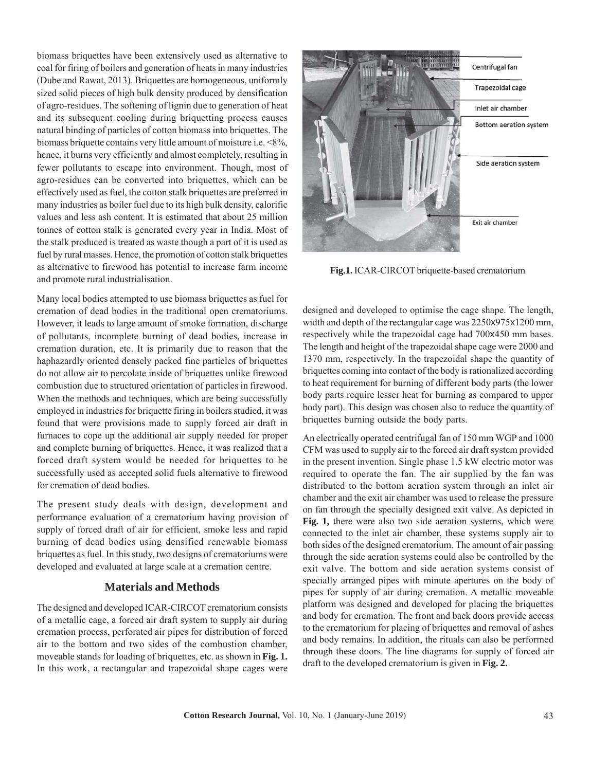biomass briquettes have been extensively used as alternative to coal for firing of boilers and generation of heats in many industries (Dube and Rawat, 2013). Briquettes are homogeneous, uniformly sized solid pieces of high bulk density produced by densification of agro-residues. The softening of lignin due to generation of heat and its subsequent cooling during briquetting process causes natural binding of particles of cotton biomass into briquettes. The biomass briquette contains very little amount of moisture i.e. <8%, hence, it burns very efficiently and almost completely, resulting in fewer pollutants to escape into environment. Though, most of agro-residues can be converted into briquettes, which can be effectively used as fuel, the cotton stalk briquettes are preferred in many industries as boiler fuel due to its high bulk density, calorific values and less ash content. It is estimated that about 25 million tonnes of cotton stalk is generated every year in India. Most of the stalk produced is treated as waste though a part of it is used as fuel by rural masses. Hence, the promotion of cotton stalk briquettes as alternative to firewood has potential to increase farm income and promote rural industrialisation.

Many local bodies attempted to use biomass briquettes as fuel for cremation of dead bodies in the traditional open crematoriums. However, it leads to large amount of smoke formation, discharge of pollutants, incomplete burning of dead bodies, increase in cremation duration, etc. It is primarily due to reason that the haphazardly oriented densely packed fine particles of briquettes do not allow air to percolate inside of briquettes unlike firewood combustion due to structured orientation of particles in firewood. When the methods and techniques, which are being successfully employed in industries for briquette firing in boilers studied, it was found that were provisions made to supply forced air draft in furnaces to cope up the additional air supply needed for proper and complete burning of briquettes. Hence, it was realized that a forced draft system would be needed for briquettes to be successfully used as accepted solid fuels alternative to firewood for cremation of dead bodies.

The present study deals with design, development and performance evaluation of a crematorium having provision of supply of forced draft of air for efficient, smoke less and rapid burning of dead bodies using densified renewable biomass briquettes as fuel. In this study, two designs of crematoriums were developed and evaluated at large scale at a cremation centre.

# **Materials and Methods**

The designed and developed ICAR-CIRCOT crematorium consists of a metallic cage, a forced air draft system to supply air during cremation process, perforated air pipes for distribution of forced air to the bottom and two sides of the combustion chamber, moveable stands for loading of briquettes, etc. as shown in **Fig. 1.** In this work, a rectangular and trapezoidal shape cages were



**Fig.1.** ICAR-CIRCOT briquette-based crematorium

designed and developed to optimise the cage shape. The length, width and depth of the rectangular cage was 2250x975x1200 mm, respectively while the trapezoidal cage had 700x450 mm bases. The length and height of the trapezoidal shape cage were 2000 and 1370 mm, respectively. In the trapezoidal shape the quantity of briquettes coming into contact of the body is rationalized according to heat requirement for burning of different body parts (the lower body parts require lesser heat for burning as compared to upper body part). This design was chosen also to reduce the quantity of briquettes burning outside the body parts.

An electrically operated centrifugal fan of 150 mm WGP and 1000 CFM was used to supply air to the forced air draft system provided in the present invention. Single phase 1.5 kW electric motor was required to operate the fan. The air supplied by the fan was distributed to the bottom aeration system through an inlet air chamber and the exit air chamber was used to release the pressure on fan through the specially designed exit valve. As depicted in **Fig. 1,** there were also two side aeration systems, which were connected to the inlet air chamber, these systems supply air to both sides of the designed crematorium. The amount of air passing through the side aeration systems could also be controlled by the exit valve. The bottom and side aeration systems consist of specially arranged pipes with minute apertures on the body of pipes for supply of air during cremation. A metallic moveable platform was designed and developed for placing the briquettes and body for cremation. The front and back doors provide access to the crematorium for placing of briquettes and removal of ashes and body remains. In addition, the rituals can also be performed through these doors. The line diagrams for supply of forced air draft to the developed crematorium is given in **Fig. 2.**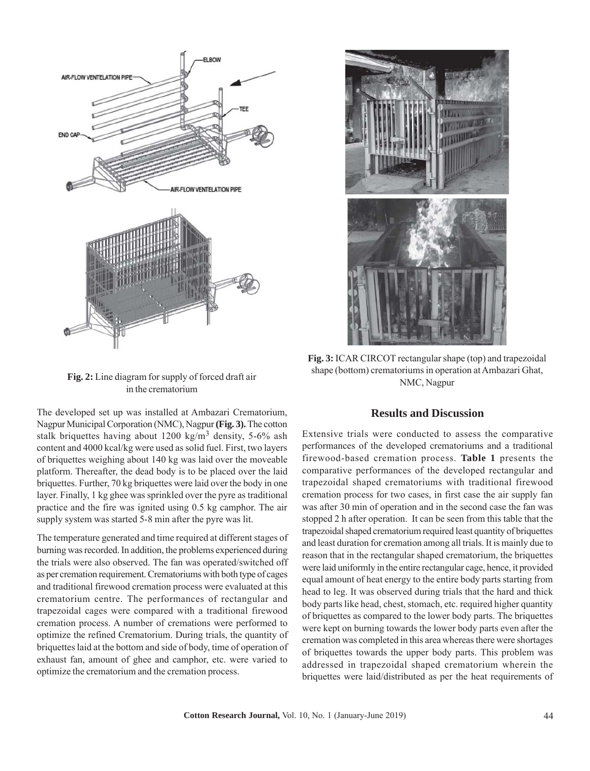

**Fig. 2:** Line diagram for supply of forced draft air in the crematorium

The developed set up was installed at Ambazari Crematorium, Nagpur Municipal Corporation (NMC), Nagpur **(Fig. 3).** The cotton stalk briquettes having about  $1200 \text{ kg/m}^3$  density, 5-6% ash content and 4000 kcal/kg were used as solid fuel. First, two layers of briquettes weighing about 140 kg was laid over the moveable platform. Thereafter, the dead body is to be placed over the laid briquettes. Further, 70 kg briquettes were laid over the body in one layer. Finally, 1 kg ghee was sprinkled over the pyre as traditional practice and the fire was ignited using 0.5 kg camphor. The air supply system was started 5-8 min after the pyre was lit.

The temperature generated and time required at different stages of burning was recorded. In addition, the problems experienced during the trials were also observed. The fan was operated/switched off as per cremation requirement. Crematoriums with both type of cages and traditional firewood cremation process were evaluated at this crematorium centre. The performances of rectangular and trapezoidal cages were compared with a traditional firewood cremation process. A number of cremations were performed to optimize the refined Crematorium. During trials, the quantity of briquettes laid at the bottom and side of body, time of operation of exhaust fan, amount of ghee and camphor, etc. were varied to optimize the crematorium and the cremation process.

**Fig. 3:** ICAR CIRCOT rectangular shape (top) and trapezoidal shape (bottom) crematoriums in operation at Ambazari Ghat, NMC, Nagpur

#### **Results and Discussion**

Extensive trials were conducted to assess the comparative performances of the developed crematoriums and a traditional firewood-based cremation process. **Table 1** presents the comparative performances of the developed rectangular and trapezoidal shaped crematoriums with traditional firewood cremation process for two cases, in first case the air supply fan was after 30 min of operation and in the second case the fan was stopped 2 h after operation. It can be seen from this table that the trapezoidal shaped crematorium required least quantity of briquettes and least duration for cremation among all trials. It is mainly due to reason that in the rectangular shaped crematorium, the briquettes were laid uniformly in the entire rectangular cage, hence, it provided equal amount of heat energy to the entire body parts starting from head to leg. It was observed during trials that the hard and thick body parts like head, chest, stomach, etc. required higher quantity of briquettes as compared to the lower body parts. The briquettes were kept on burning towards the lower body parts even after the cremation was completed in this area whereas there were shortages of briquettes towards the upper body parts. This problem was addressed in trapezoidal shaped crematorium wherein the briquettes were laid/distributed as per the heat requirements of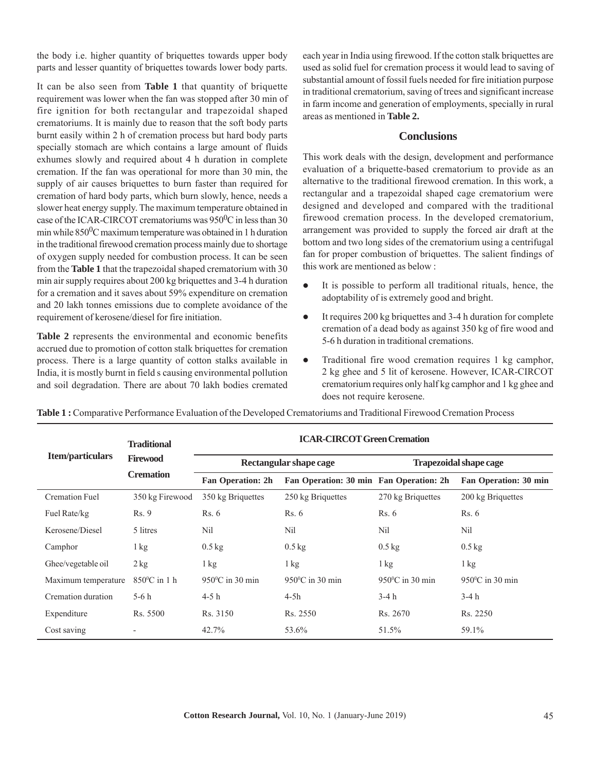the body i.e. higher quantity of briquettes towards upper body parts and lesser quantity of briquettes towards lower body parts.

It can be also seen from **Table 1** that quantity of briquette requirement was lower when the fan was stopped after 30 min of fire ignition for both rectangular and trapezoidal shaped crematoriums. It is mainly due to reason that the soft body parts burnt easily within 2 h of cremation process but hard body parts specially stomach are which contains a large amount of fluids exhumes slowly and required about 4 h duration in complete cremation. If the fan was operational for more than 30 min, the supply of air causes briquettes to burn faster than required for cremation of hard body parts, which burn slowly, hence, needs a slower heat energy supply. The maximum temperature obtained in case of the ICAR-CIRCOT crematoriums was  $950^0$ C in less than 30 min while  $850^0C$  maximum temperature was obtained in 1 h duration in the traditional firewood cremation process mainly due to shortage of oxygen supply needed for combustion process. It can be seen from the **Table 1** that the trapezoidal shaped crematorium with 30 min air supply requires about 200 kg briquettes and 3-4 h duration for a cremation and it saves about 59% expenditure on cremation and 20 lakh tonnes emissions due to complete avoidance of the requirement of kerosene/diesel for fire initiation.

**Table 2** represents the environmental and economic benefits accrued due to promotion of cotton stalk briquettes for cremation process. There is a large quantity of cotton stalks available in India, it is mostly burnt in field s causing environmental pollution and soil degradation. There are about 70 lakh bodies cremated each year in India using firewood. If the cotton stalk briquettes are used as solid fuel for cremation process it would lead to saving of substantial amount of fossil fuels needed for fire initiation purpose in traditional crematorium, saving of trees and significant increase in farm income and generation of employments, specially in rural areas as mentioned in **Table 2.**

### **Conclusions**

This work deals with the design, development and performance evaluation of a briquette-based crematorium to provide as an alternative to the traditional firewood cremation. In this work, a rectangular and a trapezoidal shaped cage crematorium were designed and developed and compared with the traditional firewood cremation process. In the developed crematorium, arrangement was provided to supply the forced air draft at the bottom and two long sides of the crematorium using a centrifugal fan for proper combustion of briquettes. The salient findings of this work are mentioned as below :

- It is possible to perform all traditional rituals, hence, the adoptability of is extremely good and bright.
- $\bullet$  It requires 200 kg briquettes and 3-4 h duration for complete cremation of a dead body as against 350 kg of fire wood and 5-6 h duration in traditional cremations.
- Traditional fire wood cremation requires 1 kg camphor, 2 kg ghee and 5 lit of kerosene. However, ICAR-CIRCOT crematorium requires only half kg camphor and 1 kg ghee and does not require kerosene.

|                       | <b>Traditional</b><br><b>Firewood</b><br><b>Cremation</b> | <b>ICAR-CIRCOT Green Cremation</b> |                                         |                               |                           |
|-----------------------|-----------------------------------------------------------|------------------------------------|-----------------------------------------|-------------------------------|---------------------------|
| Item/particulars      |                                                           | Rectangular shape cage             |                                         | <b>Trapezoidal shape cage</b> |                           |
|                       |                                                           | <b>Fan Operation: 2h</b>           | Fan Operation: 30 min Fan Operation: 2h |                               | Fan Operation: 30 min     |
| <b>Cremation Fuel</b> | 350 kg Firewood                                           | 350 kg Briquettes                  | 250 kg Briquettes                       | 270 kg Briquettes             | 200 kg Briquettes         |
| Fuel Rate/kg          | Rs. 9                                                     | Rs. 6                              | Rs. 6                                   | Rs. 6                         | Rs. 6                     |
| Kerosene/Diesel       | 5 litres                                                  | Nil                                | Nil                                     | Nil                           | Nil                       |
| Camphor               | $1 \text{ kg}$                                            | $0.5$ kg                           | $0.5$ kg                                | $0.5$ kg                      | $0.5$ kg                  |
| Ghee/vegetable oil    | $2$ kg                                                    | $1 \text{ kg}$                     | $1\,\mathrm{kg}$                        | $1 \text{ kg}$                | 1 kg                      |
| Maximum temperature   | $850^{\circ}$ C in 1 h                                    | $950^{\circ}$ C in 30 min          | $950^{\circ}$ C in 30 min               | $950^{\circ}$ C in 30 min     | $950^{\circ}$ C in 30 min |
| Cremation duration    | $5-6h$                                                    | $4-5h$                             | $4-5h$                                  | $3-4h$                        | $3-4h$                    |
| Expenditure           | Rs. 5500                                                  | Rs. 3150                           | Rs. 2550                                | Rs. 2670                      | Rs. 2250                  |
| Cost saving           |                                                           | 42.7%                              | 53.6%                                   | 51.5%                         | 59.1%                     |

**Table 1 :** Comparative Performance Evaluation of the Developed Crematoriums and Traditional Firewood Cremation Process